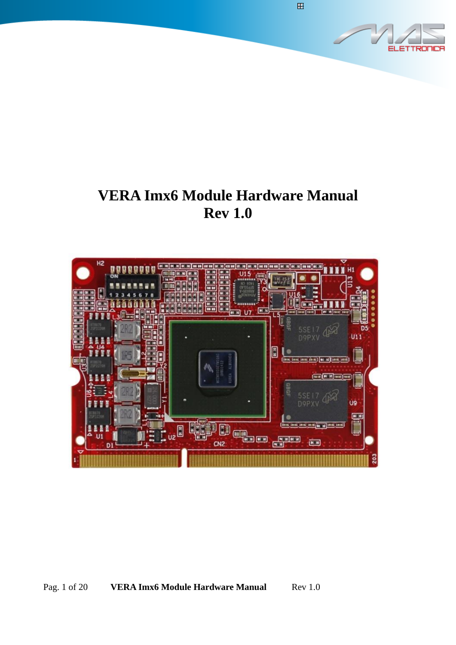

 $\blacksquare$ 

# **VERA Imx6 Module Hardware Manual Rev 1.0**

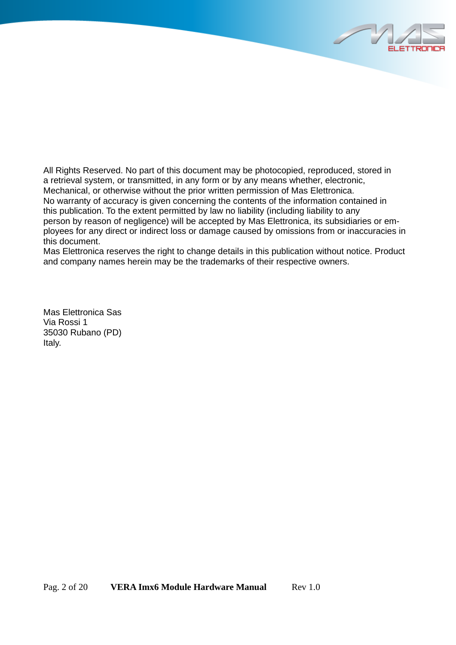

All Rights Reserved. No part of this document may be photocopied, reproduced, stored in a retrieval system, or transmitted, in any form or by any means whether, electronic, Mechanical, or otherwise without the prior written permission of Mas Elettronica. No warranty of accuracy is given concerning the contents of the information contained in this publication. To the extent permitted by law no liability (including liability to any person by reason of negligence) will be accepted by Mas Elettronica, its subsidiaries or employees for any direct or indirect loss or damage caused by omissions from or inaccuracies in this document.

Mas Elettronica reserves the right to change details in this publication without notice. Product and company names herein may be the trademarks of their respective owners.

Mas Elettronica Sas Via Rossi 1 35030 Rubano (PD) Italy.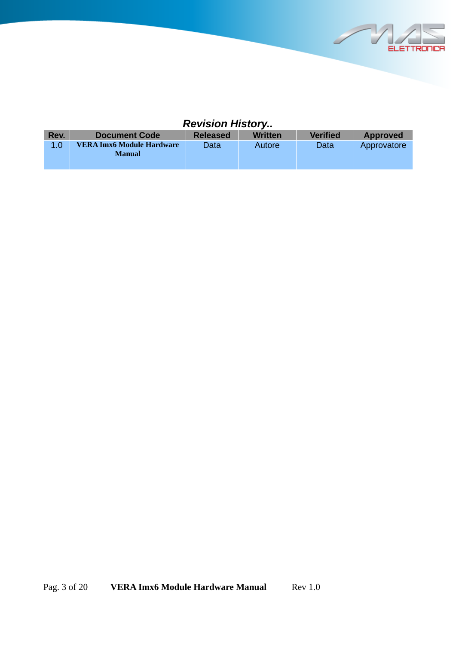

#### *Revision History..*

| Rev. | Document Code                              | <b>Released</b> | <b>Written</b> | <b>Verified</b> | <b>Approved</b> |
|------|--------------------------------------------|-----------------|----------------|-----------------|-----------------|
| 1.0  | <b>VERA Imx6 Module Hardware</b><br>Manual | Datal           | Autore         | Data            | Approvatore     |
|      |                                            |                 |                |                 |                 |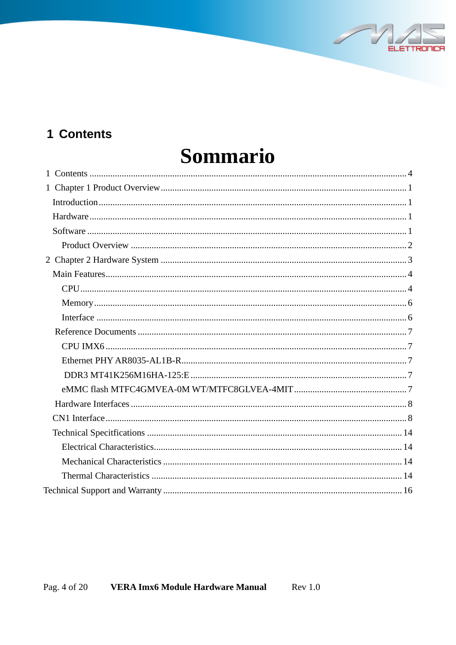

# 1 Contents

# Sommario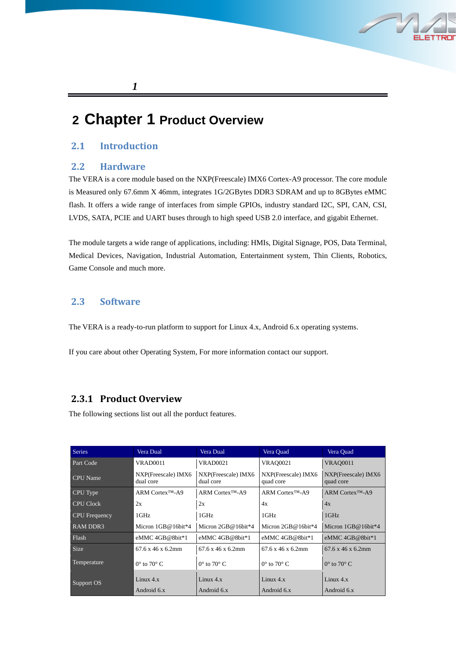

 *1*

## **2 Chapter 1 Product Overview**

#### **2.1 Introduction**

#### **2.2 Hardware**

The VERA is a core module based on the NXP(Freescale) IMX6 Cortex-A9 processor. The core module is Measured only 67.6mm X 46mm, integrates 1G/2GBytes DDR3 SDRAM and up to 8GBytes eMMC flash. It offers a wide range of interfaces from simple GPIOs, industry standard I2C, SPI, CAN, CSI, LVDS, SATA, PCIE and UART buses through to high speed USB 2.0 interface, and gigabit Ethernet.

The module targets a wide range of applications, including: HMIs, Digital Signage, POS, Data Terminal, Medical Devices, Navigation, Industrial Automation, Entertainment system, Thin Clients, Robotics, Game Console and much more.

#### **2.3 Software**

The VERA is a ready-to-run platform to support for Linux 4.x, Android 6.x operating systems.

If you care about other Operating System, For more information contact our support.

#### **2.3.1 Product Overview**

The following sections list out all the porduct features.

| <b>Series</b>    | Vera Dual                        | Vera Dual                        | Vera Quad                        | Vera Quad                        |
|------------------|----------------------------------|----------------------------------|----------------------------------|----------------------------------|
| Part Code        | <b>VRAD0011</b>                  | VRAD0021                         | <b>VRAQ0021</b>                  | <b>VRAQ0011</b>                  |
| CPU Name         | NXP(Freescale) IMX6<br>dual core | NXP(Freescale) IMX6<br>dual core | NXP(Freescale) IMX6<br>quad core | NXP(Freescale) IMX6<br>quad core |
| CPU Type         | $ARM$ Cortex <sup>TM</sup> -A9   | $ARM$ Cortex <sup>TM</sup> -A9   | $ARM$ Cortex <sup>TM</sup> -A9   | ARM Cortex <sup>TM</sup> -A9     |
| <b>CPU Clock</b> | 2x                               | 2x                               | 4x                               | 4x                               |
| CPU Frequency    | $1$ GHz                          | $1$ GHz                          | $1$ GHz                          | $1$ GHz                          |
| <b>RAM DDR3</b>  | Micron 1GB@16bit*4               | Micron 2GB@16bit*4               | Micron 2GB@16bit*4               | Micron 1GB@16bit*4               |
| Flash            | eMMC 4GB@8bit*1                  | eMMC 4GB@8bit*1                  | eMMC 4GB@8bit*1                  | eMMC 4GB@8bit*1                  |
| <b>Size</b>      | $67.6 \times 46 \times 6.2$ mm   | $67.6 \times 46 \times 6.2$ mm   | $67.6 \times 46 \times 6.2$ mm   | $67.6 \times 46 \times 6.2$ mm   |
| Temperature      | $0^\circ$ to $70^\circ$ C.       | $0^\circ$ to $70^\circ$ C.       | $0^\circ$ to $70^\circ$ C.       | $0^\circ$ to $70^\circ$ C.       |
| Support OS       | Linux $4x$                       | Linux $4x$                       | Linux $4x$                       | Linux $4x$                       |
|                  | Android 6.x                      | Android 6.x                      | Android 6.x                      | Android 6.x                      |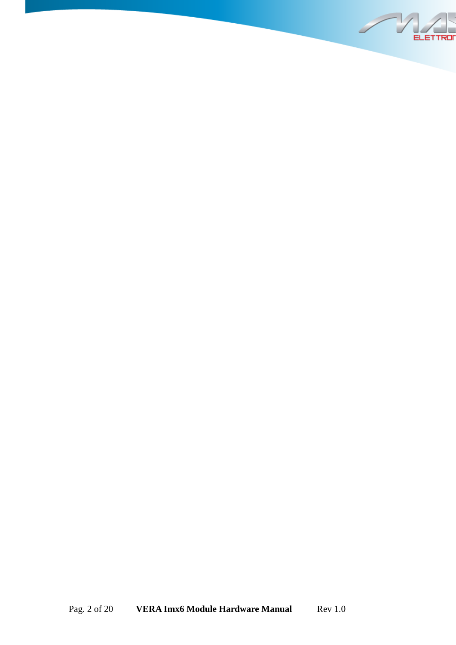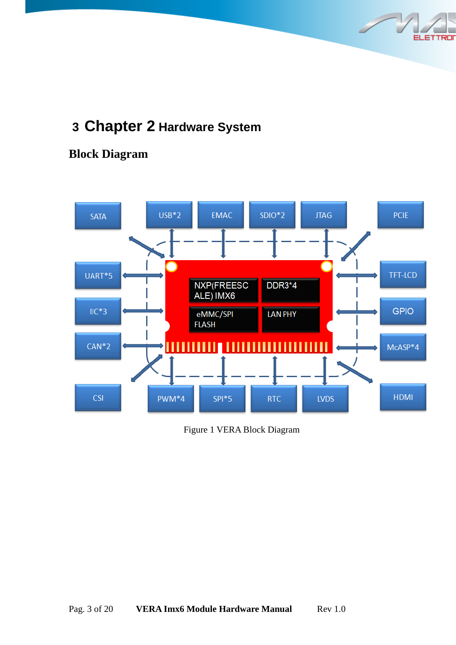

# **3 Chapter 2 Hardware System**

### **Block Diagram**



Figure 1 VERA Block Diagram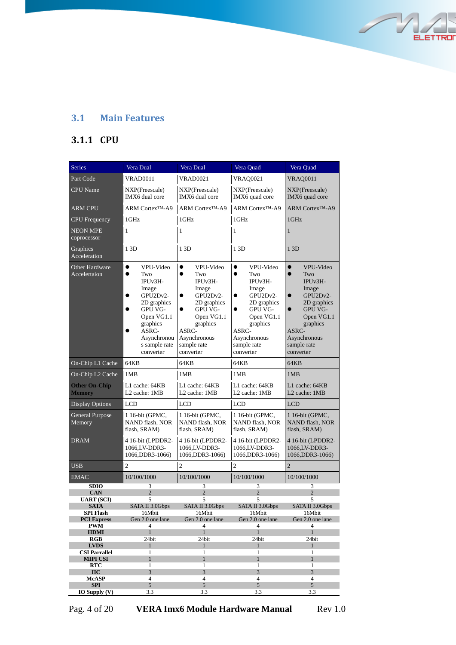#### **3.1 Main Features**

#### **3.1.1 CPU**

| <b>Series</b>                         | Vera Dual                                                                                                                                                                                         | Vera Dual                                                                                                                                                                                                     | Vera Quad                                                                                                                                                                                                     | Vera Quad                                                                                                                                                                                                     |
|---------------------------------------|---------------------------------------------------------------------------------------------------------------------------------------------------------------------------------------------------|---------------------------------------------------------------------------------------------------------------------------------------------------------------------------------------------------------------|---------------------------------------------------------------------------------------------------------------------------------------------------------------------------------------------------------------|---------------------------------------------------------------------------------------------------------------------------------------------------------------------------------------------------------------|
| Part Code                             | <b>VRAD0011</b>                                                                                                                                                                                   | <b>VRAD0021</b>                                                                                                                                                                                               | <b>VRAQ0021</b>                                                                                                                                                                                               | <b>VRAQ0011</b>                                                                                                                                                                                               |
| <b>CPU</b> Name                       | NXP(Freescale)<br>IMX6 dual core                                                                                                                                                                  | NXP(Freescale)<br>IMX6 dual core                                                                                                                                                                              | NXP(Freescale)<br>IMX6 quad core                                                                                                                                                                              | NXP(Freescale)<br>IMX6 quad core                                                                                                                                                                              |
| <b>ARM CPU</b>                        | ARM Cortex™-A9                                                                                                                                                                                    | ARM Cortex <sup>™</sup> -A9                                                                                                                                                                                   | ARM Cortex™-A9                                                                                                                                                                                                | ARM Cortex™-A9                                                                                                                                                                                                |
| <b>CPU Frequency</b>                  | 1GHz                                                                                                                                                                                              | 1GHz                                                                                                                                                                                                          | $1$ GHz                                                                                                                                                                                                       | 1GHz                                                                                                                                                                                                          |
| <b>NEON MPE</b><br>coprocessor        | $\mathbf{1}$                                                                                                                                                                                      | $\mathbf{1}$                                                                                                                                                                                                  | $\mathbf{1}$                                                                                                                                                                                                  | $\mathbf{1}$                                                                                                                                                                                                  |
| <b>Graphics</b><br>Acceleration       | 1 3D                                                                                                                                                                                              | 13D                                                                                                                                                                                                           | 1 3D                                                                                                                                                                                                          | 13D                                                                                                                                                                                                           |
| Other Hardware<br>Accelertaion        | $\bullet$<br>VPU-Video<br>Two<br>$\bullet$<br>IPUv3H-<br>Image<br>GPU2Dv2-<br>$\bullet$<br>2D graphics<br>GPU VG-<br>Open VG1.1<br>graphics<br>ASRC-<br>Asynchronou<br>s sample rate<br>converter | $\bullet$<br>VPU-Video<br>Two<br>$\bullet$<br>IPUv3H-<br>Image<br>$\bullet$<br>GPU2Dv2-<br>2D graphics<br>GPU VG-<br>$\bullet$<br>Open VG1.1<br>graphics<br>ASRC-<br>Asynchronous<br>sample rate<br>converter | $\bullet$<br>VPU-Video<br>Two<br>$\bullet$<br>IPUv3H-<br>Image<br>GPU2Dv2-<br>$\bullet$<br>2D graphics<br>GPU VG-<br>$\bullet$<br>Open VG1.1<br>graphics<br>ASRC-<br>Asynchronous<br>sample rate<br>converter | $\bullet$<br>VPU-Video<br>$\bullet$<br>Two<br>IPUv3H-<br>Image<br>$\bullet$<br>GPU2Dv2-<br>2D graphics<br>GPU VG-<br>$\bullet$<br>Open VG1.1<br>graphics<br>ASRC-<br>Asynchronous<br>sample rate<br>converter |
| On-Chip L1 Cache                      | 64KB                                                                                                                                                                                              | 64KB                                                                                                                                                                                                          | 64KB                                                                                                                                                                                                          | 64KB                                                                                                                                                                                                          |
| On-Chip L2 Cache                      | 1MB                                                                                                                                                                                               | 1MB                                                                                                                                                                                                           | 1MB                                                                                                                                                                                                           | 1MB                                                                                                                                                                                                           |
| <b>Other On-Chip</b><br><b>Memory</b> | L1 cache: 64KB<br>L2 cache: 1MB                                                                                                                                                                   | L1 cache: 64KB<br>L2 cache: 1MB                                                                                                                                                                               | L1 cache: 64KB<br>L2 cache: 1MB                                                                                                                                                                               | L1 cache: 64KB<br>L2 cache: 1MB                                                                                                                                                                               |
| <b>Display Options</b>                | <b>LCD</b>                                                                                                                                                                                        | LCD                                                                                                                                                                                                           | LCD                                                                                                                                                                                                           | <b>LCD</b>                                                                                                                                                                                                    |
| <b>General Purpose</b><br>Memory      | 1 16-bit (GPMC,<br>NAND flash, NOR<br>flash, SRAM)                                                                                                                                                | 1 16-bit (GPMC,<br>NAND flash, NOR<br>flash, SRAM)                                                                                                                                                            | 1 16-bit (GPMC,<br>NAND flash, NOR<br>flash, SRAM)                                                                                                                                                            | 1 16-bit (GPMC,<br>NAND flash, NOR<br>flash, SRAM)                                                                                                                                                            |
| <b>DRAM</b>                           | 4 16-bit (LPDDR2-<br>1066,LV-DDR3-<br>1066, DDR3-1066)                                                                                                                                            | 4 16-bit (LPDDR2-<br>1066,LV-DDR3-<br>1066, DDR3-1066)                                                                                                                                                        | 4 16-bit (LPDDR2-<br>1066,LV-DDR3-<br>1066, DDR3-1066)                                                                                                                                                        | 4 16-bit (LPDDR2-<br>1066, LV-DDR3-<br>1066, DDR3-1066)                                                                                                                                                       |
| <b>USB</b>                            | $\overline{2}$                                                                                                                                                                                    | $\overline{2}$                                                                                                                                                                                                | $\overline{2}$                                                                                                                                                                                                | $\overline{2}$                                                                                                                                                                                                |
| <b>EMAC</b>                           | 10/100/1000                                                                                                                                                                                       | 10/100/1000                                                                                                                                                                                                   | 10/100/1000                                                                                                                                                                                                   | 10/100/1000                                                                                                                                                                                                   |
| <b>SDIO</b>                           | 3                                                                                                                                                                                                 | 3                                                                                                                                                                                                             | 3                                                                                                                                                                                                             | 3                                                                                                                                                                                                             |
| <b>CAN</b><br><b>UART (SCI)</b>       | $\overline{2}$<br>5                                                                                                                                                                               | $\overline{2}$<br>5                                                                                                                                                                                           | $\overline{2}$<br>5                                                                                                                                                                                           | $\overline{2}$<br>5                                                                                                                                                                                           |
| <b>SATA</b>                           | SATA II 3.0Gbps                                                                                                                                                                                   | SATA II 3.0Gbps                                                                                                                                                                                               | SATA II 3.0Gbps                                                                                                                                                                                               | SATA II 3.0Gbps                                                                                                                                                                                               |
| <b>SPI Flash</b>                      | 16Mbit                                                                                                                                                                                            | 16Mbit                                                                                                                                                                                                        | 16Mbit                                                                                                                                                                                                        | 16Mbit                                                                                                                                                                                                        |
| <b>PCI Express</b>                    | Gen 2.0 one lane                                                                                                                                                                                  | Gen 2.0 one lane                                                                                                                                                                                              | Gen 2.0 one lane                                                                                                                                                                                              | Gen 2.0 one lane                                                                                                                                                                                              |
| <b>PWM</b>                            | $\overline{4}$                                                                                                                                                                                    | 4                                                                                                                                                                                                             | $\overline{4}$                                                                                                                                                                                                | $\overline{4}$                                                                                                                                                                                                |
| <b>HDMI</b>                           | $\mathbf{1}$                                                                                                                                                                                      | $\mathbf{1}$                                                                                                                                                                                                  | $\mathbf{1}$                                                                                                                                                                                                  | $\mathbf{1}$                                                                                                                                                                                                  |
| RGB                                   | 24bit                                                                                                                                                                                             | 24bit                                                                                                                                                                                                         | 24bit                                                                                                                                                                                                         | 24bit                                                                                                                                                                                                         |
| <b>LVDS</b>                           | $\mathbf{1}$                                                                                                                                                                                      | $\mathbf{1}$                                                                                                                                                                                                  | $\mathbf{1}$                                                                                                                                                                                                  | $\mathbf{1}$                                                                                                                                                                                                  |
| <b>CSI Parrallel</b>                  | $\mathbf{1}$                                                                                                                                                                                      | $\mathbf{1}$                                                                                                                                                                                                  | $\mathbf{1}$                                                                                                                                                                                                  | $\mathbf{1}$                                                                                                                                                                                                  |
| <b>MIPI CSI</b><br><b>RTC</b>         | $\mathbf{1}$<br>$\mathbf{1}$                                                                                                                                                                      | $\mathbf{1}$<br>$\mathbf{1}$                                                                                                                                                                                  | $1\,$<br>$\mathbf{1}$                                                                                                                                                                                         | $\mathbf{1}$<br>$\mathbf{1}$                                                                                                                                                                                  |
| <b>IIC</b>                            | 3                                                                                                                                                                                                 | 3                                                                                                                                                                                                             | 3                                                                                                                                                                                                             | 3                                                                                                                                                                                                             |
| <b>McASP</b>                          | $\overline{4}$                                                                                                                                                                                    | $\overline{4}$                                                                                                                                                                                                | $\overline{4}$                                                                                                                                                                                                | $\overline{4}$                                                                                                                                                                                                |
| <b>SPI</b>                            | 5                                                                                                                                                                                                 | 5                                                                                                                                                                                                             | 5                                                                                                                                                                                                             | 5                                                                                                                                                                                                             |
| IO Supply (V)                         | 3.3                                                                                                                                                                                               | 3.3                                                                                                                                                                                                           | 3.3                                                                                                                                                                                                           | 3.3                                                                                                                                                                                                           |

Pag. 4 of 20 **VERA Imx6 Module Hardware Manual** Rev 1.0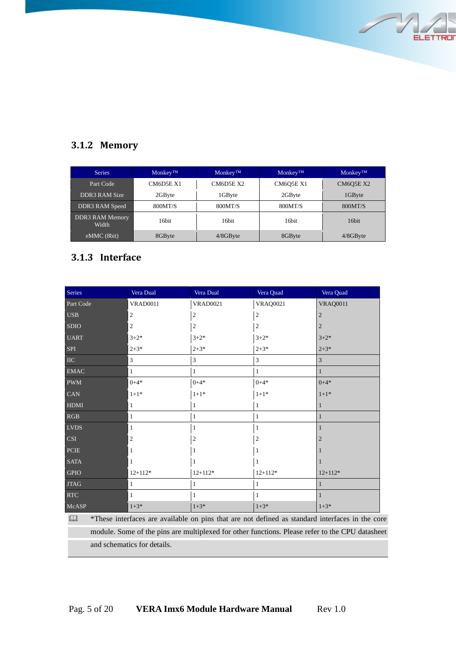

#### **3.1.2 Memory**

| <b>Series</b>            | Monkey <sup>™</sup> | Monkey™           | Monkev <sup>™</sup> | $Monkev^{TM}$ |
|--------------------------|---------------------|-------------------|---------------------|---------------|
| Part Code                | CM6D5E X1           | CM6D5E X2         | CM6Q5E X1           | CM6Q5E X2     |
| <b>DDR3 RAM Size</b>     | 2GByte              | 1GByte            | 2GByte              | 1GByte        |
| <b>DDR3 RAM Speed</b>    | 800MT/S             | 800MT/S           | 800MT/S             | 800MT/S       |
| DDR3 RAM Memory<br>Width | 16 <sub>bit</sub>   | 16 <sub>bit</sub> | 16 <sub>bit</sub>   | 16bit         |
| eMMC (8bit)              | 8GByte              | 4/8GByte          | 8GByte              | 4/8GByte      |

#### **3.1.3 Interface**

| <b>Series</b>          | Vera Dual       | Vera Dual       | Vera Quad       | Vera Quad       |
|------------------------|-----------------|-----------------|-----------------|-----------------|
| Part Code              | <b>VRAD0011</b> | <b>VRAD0021</b> | <b>VRAQ0021</b> | <b>VRAQ0011</b> |
| <b>USB</b>             | 2               | $\overline{2}$  | $\overline{2}$  | $\overline{2}$  |
| <b>SDIO</b>            | 2               | $\overline{2}$  | $\overline{2}$  | $\overline{2}$  |
| <b>UART</b>            | $3 + 2*$        | $3 + 2*$        | $3+2*$          | $3 + 2*$        |
| SPI                    | $2 + 3*$        | $2 + 3*$        | $2 + 3*$        | $2 + 3*$        |
| $\rm IIC$              | $\sqrt{3}$      | 3               | 3               | $\sqrt{3}$      |
| <b>EMAC</b>            | $\mathbf{1}$    | $\,1\,$         | $\mathbf{1}$    | $\mathbf{1}$    |
| <b>PWM</b>             | $0+4*$          | $0 + 4*$        | $0+4*$          | $0+4*$          |
| CAN                    | $1+1*$          | $1 + 1*$        | $1 + 1*$        | $1+1*$          |
| <b>HDMI</b>            | $\mathbf{1}$    | $\mathbf{1}$    | $\mathbf{1}$    | $\mathbf{1}$    |
| RGB                    | $1\,$           | $1\,$           | $\mathbf{1}$    | $\mathbf{1}$    |
| <b>LVDS</b>            | $\mathbf{1}$    | $\,1\,$         | $\mathbf{1}$    | $1\,$           |
| CSI                    | $\sqrt{2}$      | $\mathbf 2$     | $\overline{2}$  | $\sqrt{2}$      |
| PCIE                   | $1\,$           | $1\,$           | $\mathbf{1}$    | $\mathbf{1}$    |
| <b>SATA</b>            | $\mathbf{1}$    | $1\,$           | $\mathbf{1}$    | $\mathbf{1}$    |
| <b>GPIO</b>            | $12+112*$       | $12+112*$       | $12+112*$       | $12+112*$       |
| <b>JTAG</b>            | $\mathbf{1}$    | $1\,$           | $\mathbf{1}$    | $\mathbf{1}$    |
| <b>RTC</b>             | $\mathbf{1}$    | $\mathbf{1}$    | $\mathbf{1}$    | $\mathbf{1}$    |
| <b>McASP</b><br>$\sim$ | $1+3*$          | $1+3*$          | $1+3*$          | $1+3*$          |

#### \*These interfaces are available on pins that are not defined as standard interfaces in the core module. Some of the pins are multiplexed for other functions. Please refer to the CPU datasheet and schematics for details.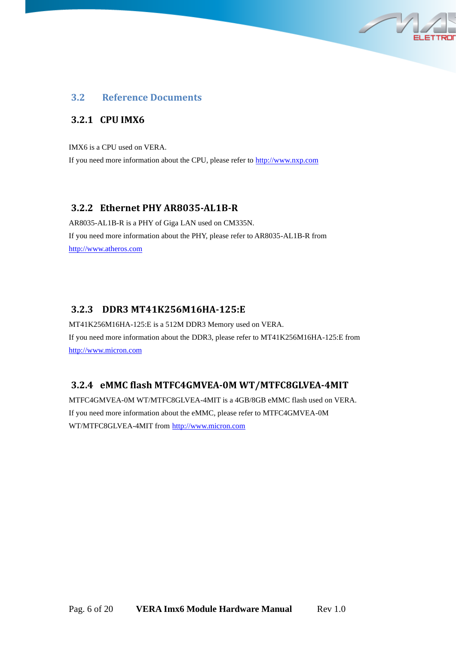#### **3.2 Reference Documents**

#### **3.2.1 CPU IMX6**

IMX6 is a CPU used on VERA.

If you need more information about the CPU, please refer to [http://www.nxp.com](http://www.ti.com/)

EL ETTRO

#### **3.2.2 Ethernet PHY AR8035-AL1B-R**

AR8035-AL1B-R is a PHY of Giga LAN used on CM335N. If you need more information about the PHY, please refer to AR8035-AL1B-R from [http://www.atheros.com](http://www.micron.com/)

#### **3.2.3 DDR3 MT41K256M16HA-125:E**

MT41K256M16HA-125:E is a 512M DDR3 Memory used on VERA. If you need more information about the DDR3, please refer to MT41K256M16HA-125:E from [http://www.micron.com](http://www.micron.com/)

#### **3.2.4 eMMC flash MTFC4GMVEA-0M WT/MTFC8GLVEA-4MIT**

MTFC4GMVEA-0M WT/MTFC8GLVEA-4MIT is a 4GB/8GB eMMC flash used on VERA. If you need more information about the eMMC, please refer to MTFC4GMVEA-0M WT/MTFC8GLVEA-4MIT from [http://www.micron.com](http://www.micron.com/)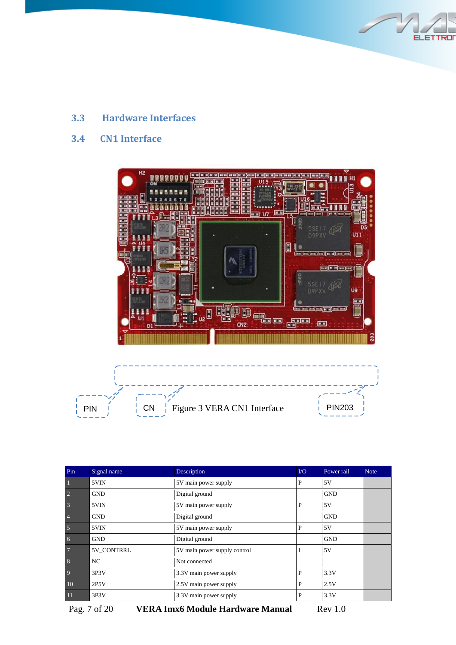

#### **3.3 Hardware Interfaces**

**3.4 CN1 Interface**



| Pin             | Signal name       | Description                  | $IO$ | Power rail | <b>Note</b> |
|-----------------|-------------------|------------------------------|------|------------|-------------|
| $\mathbf{1}$    | 5VIN              | 5V main power supply         | P    | 5V         |             |
| $\overline{2}$  | <b>GND</b>        | Digital ground               |      | <b>GND</b> |             |
| $\overline{3}$  | 5VIN              | 5V main power supply         | P    | 5V         |             |
| $\overline{4}$  | <b>GND</b>        | Digital ground               |      | <b>GND</b> |             |
| 5               | 5VIN              | 5V main power supply         | P    | 5V         |             |
| $6\overline{6}$ | <b>GND</b>        | Digital ground               |      | <b>GND</b> |             |
| 7               | <b>5V CONTRRL</b> | 5V main power supply control | I    | 5V         |             |
| 8               | N <sub>C</sub>    | Not connected                |      |            |             |
| $\overline{9}$  | 3P3V              | 3.3V main power supply       | P    | 3.3V       |             |
| 10              | 2P5V              | 2.5V main power supply       | P    | 2.5V       |             |
| 11              | 3P3V              | 3.3V main power supply       | P    | 3.3V       |             |

Pag. 7 of 20 **VERA Imx6 Module Hardware Manual** Rev 1.0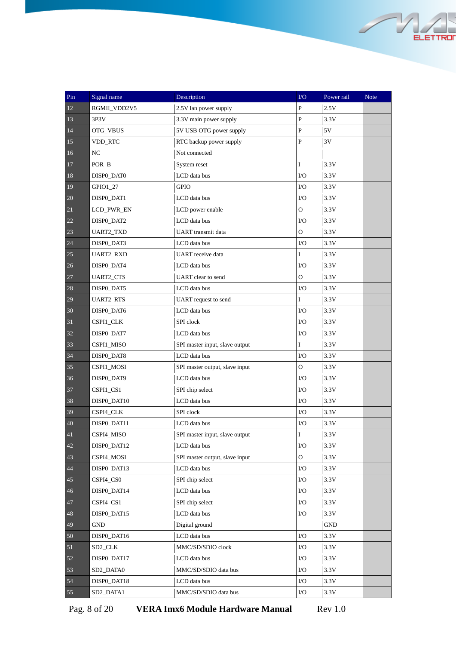| Pin | Signal name      | Description                    | I/O           | Power rail           | <b>Note</b> |
|-----|------------------|--------------------------------|---------------|----------------------|-------------|
| 12  | RGMII_VDD2V5     | 2.5V lan power supply          | $\mathbf{P}$  | 2.5V                 |             |
| 13  | 3P3V             | 3.3V main power supply         | ${\bf p}$     | 3.3V                 |             |
| 14  | OTG_VBUS         | 5V USB OTG power supply        | $\mathbf{P}$  | $5\mathrm{V}$        |             |
| 15  | VDD_RTC          | RTC backup power supply        | P             | 3V                   |             |
| 16  | NC               | Not connected                  |               |                      |             |
| 17  | POR_B            | System reset                   | I             | 3.3V                 |             |
| 18  | DISPO_DATO       | LCD data bus                   | I/O           | 3.3V                 |             |
| 19  | GPIO1_27         | <b>GPIO</b>                    | I/O           | 3.3V                 |             |
| 20  | DISPO_DAT1       | LCD data bus                   | I/O           | 3.3V                 |             |
| 21  | LCD_PWR_EN       | LCD power enable               | $\mathcal{O}$ | 3.3V                 |             |
| 22  | DISPO_DAT2       | LCD data bus                   | I/O           | 3.3V                 |             |
| 23  | UART2_TXD        | <b>UART</b> transmit data      | $\mathcal{O}$ | 3.3V                 |             |
| 24  | DISP0_DAT3       | LCD data bus                   | I/O           | 3.3V                 |             |
| 25  | UART2_RXD        | <b>UART</b> receive data       | I             | 3.3V                 |             |
| 26  | DISP0_DAT4       | LCD data bus                   | I/O           | 3.3V                 |             |
| 27  | <b>UART2_CTS</b> | <b>UART</b> clear to send      | O             | 3.3V                 |             |
| 28  | DISPO DAT5       | LCD data bus                   | I/O           | 3.3V                 |             |
| 29  | <b>UART2_RTS</b> | <b>UART</b> request to send    | I             | 3.3V                 |             |
| 30  | DISPO_DAT6       | LCD data bus                   | I/O           | 3.3V                 |             |
| 31  | CSPI1_CLK        | SPI clock                      | I/O           | 3.3V                 |             |
| 32  | DISPO_DAT7       | LCD data bus                   | I/O           | 3.3V                 |             |
| 33  | CSPI1_MISO       | SPI master input, slave output | I             | 3.3V                 |             |
| 34  | DISPO_DAT8       | LCD data bus                   | I/O           | 3.3V                 |             |
| 35  | CSPI1_MOSI       | SPI master output, slave input | $\Omega$      | 3.3V                 |             |
| 36  | DISP0_DAT9       | LCD data bus                   | I/O           | 3.3V                 |             |
| 37  | CSPI1_CS1        | SPI chip select                | I/O           | 3.3V                 |             |
| 38  | DISP0_DAT10      | LCD data bus                   | I/O           | 3.3V                 |             |
| 39  | CSPI4_CLK        | SPI clock                      | I/O           | 3.3V                 |             |
| 40  | DISP0_DAT11      | LCD data bus                   | I/O           | 3.3V                 |             |
| 41  | CSPI4_MISO       | SPI master input, slave output | $\mathbf I$   | $3.3\mathrm{V}$      |             |
| 42  | DISPO_DAT12      | LCD data bus                   | $\rm I/O$     | 3.3V                 |             |
| 43  | CSPI4_MOSI       | SPI master output, slave input | $\mathcal{O}$ | 3.3V                 |             |
| 44  | DISPO_DAT13      | LCD data bus                   | I/O           | 3.3V                 |             |
| 45  | CSPI4_CS0        | SPI chip select                | ${\rm I/O}$   | $3.3\mathrm{V}$      |             |
| 46  | DISPO DAT14      | LCD data bus                   | I/O           | 3.3V                 |             |
| 47  | CSPI4_CS1        | SPI chip select                | ${\rm I/O}$   | 3.3V                 |             |
| 48  | DISPO_DAT15      | LCD data bus                   | $\rm I/O$     | 3.3V                 |             |
| 49  | <b>GND</b>       | Digital ground                 |               | $\operatorname{GND}$ |             |
| 50  | DISPO_DAT16      | LCD data bus                   | I/O           | $3.3\mathrm{V}$      |             |
| 51  | SD2_CLK          | MMC/SD/SDIO clock              | I/O           | 3.3V                 |             |
| 52  | DISPO_DAT17      | LCD data bus                   | $\rm I/O$     | 3.3V                 |             |
| 53  | SD2_DATA0        | MMC/SD/SDIO data bus           | I/O           | 3.3V                 |             |
| 54  | DISP0_DAT18      | LCD data bus                   | I/O           | 3.3V                 |             |
| 55  | SD2_DATA1        | MMC/SD/SDIO data bus           | I/O           | 3.3V                 |             |

Pag. 8 of 20 **VERA Imx6 Module Hardware Manual** Rev 1.0

Í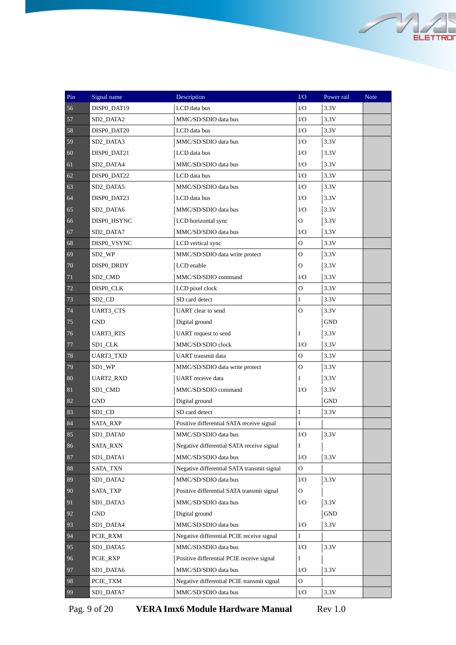| Pin    | Signal name                    | Description                                | $IO$          | Power rail      | <b>Note</b> |
|--------|--------------------------------|--------------------------------------------|---------------|-----------------|-------------|
| 56     | DISPO_DAT19                    | LCD data bus                               | I/O           | 3.3V            |             |
| 57     | SD2_DATA2                      | MMC/SD/SDIO data bus                       | I/O           | 3.3V            |             |
| 58     | DISPO_DAT20                    | LCD data bus                               | I/O           | 3.3V            |             |
| 59     | SD2_DATA3                      | MMC/SD/SDIO data bus                       | $1/O$         | 3.3V            |             |
| 60     | DISPO_DAT21                    | LCD data bus                               | I/O           | 3.3V            |             |
| 61     | SD2_DATA4                      | MMC/SD/SDIO data bus                       | I/O           | 3.3V            |             |
| 62     | DISPO_DAT22                    | LCD data bus                               | I/O           | 3.3V            |             |
| 63     | SD2_DATA5                      | MMC/SD/SDIO data bus                       | I/O           | 3.3V            |             |
| 64     | DISPO_DAT23                    | LCD data bus                               | I/O           | 3.3V            |             |
| 65     | SD2_DATA6                      | MMC/SD/SDIO data bus                       | I/O           | 3.3V            |             |
| 66     | DISPO_HSYNC                    | LCD horizontal sync                        | $\Omega$      | 3.3V            |             |
| 67     | SD2_DATA7                      | MMC/SD/SDIO data bus                       | I/O           | 3.3V            |             |
| 68     | DISP0_VSYNC                    | LCD vertical sync                          | $\Omega$      | 3.3V            |             |
| 69     | SD2 WP                         | MMC/SD/SDIO data write protect             | $\mathcal{O}$ | 3.3V            |             |
| 70     | DISPO_DRDY                     | LCD enable                                 | $\Omega$      | 3.3V            |             |
| 71     | SD <sub>2</sub> _CMD           | MMC/SD/SDIO command                        | I/O           | 3.3V            |             |
| 72     | DISPO_CLK                      | LCD pixel clock                            | O             | 3.3V            |             |
| 73     | SD <sub>2</sub> C <sub>D</sub> | SD card detect                             | I             | 3.3V            |             |
| 74     | <b>UART3_CTS</b>               | <b>UART</b> clear to send                  | $\Omega$      | 3.3V            |             |
| 75     | <b>GND</b>                     | Digital ground                             |               | GND             |             |
| 76     | <b>UART3_RTS</b>               | <b>UART</b> request to send                | I             | $3.3\mathrm{V}$ |             |
| 77     | SD1_CLK                        | MMC/SD/SDIO clock                          | I/O           | 3.3V            |             |
| 78     | UART3_TXD                      | UART transmit data                         | $\mathcal{O}$ | 3.3V            |             |
| 79     | SD1_WP                         | MMC/SD/SDIO data write protect             | $\Omega$      | 3.3V            |             |
| 80     | UART2_RXD                      | <b>UART</b> receive data                   | I             | $3.3\mathrm{V}$ |             |
| 81     | SD1_CMD                        | MMC/SD/SDIO command                        | I/O           | 3.3V            |             |
| 82     | GND                            | Digital ground                             |               | GND             |             |
| 83     | SD1_CD                         | SD card detect                             | I             | 3.3V            |             |
| 84     | SATA_RXP                       | Positive differential SATA receive signal  | I             |                 |             |
| 85     | SD1_DATA0                      | MMC/SD/SDIO data bus                       | ${\rm I/O}$   | $3.3\mathrm{V}$ |             |
| 86     | SATA_RXN                       | Negative differential SATA receive signal  | Ι             |                 |             |
| $87\,$ | SD1 DATA1                      | MMC/SD/SDIO data bus                       | I/O           | 3.3V            |             |
| 88     | <b>SATA_TXN</b>                | Negative differential SATA transmit signal | O             |                 |             |
| 89     | SD1_DATA2                      | MMC/SD/SDIO data bus                       | $\rm I/O$     | $3.3\mathrm{V}$ |             |
| $90\,$ | SATA_TXP                       | Positive differential SATA transmit signal | $\mathcal{O}$ |                 |             |
| 91     | SD1_DATA3                      | MMC/SD/SDIO data bus                       | I/O           | 3.3V            |             |
| 92     | <b>GND</b>                     | Digital ground                             |               | GND             |             |
| 93     | SD1_DATA4                      | MMC/SD/SDIO data bus                       | I/O           | 3.3V            |             |
| 94     | PCIE_RXM                       | Negative differential PCIE receive signal  | L             |                 |             |
| 95     | SD1_DATA5                      | MMC/SD/SDIO data bus                       | I/O           | 3.3V            |             |
| 96     | PCIE_RXP                       | Positive differential PCIE receive signal  | Ι.            |                 |             |
| 97     | SD1_DATA6                      | MMC/SD/SDIO data bus                       | I/O           | 3.3V            |             |
| 98     | PCIE_TXM                       | Negative differential PCIE transmit signal | O             |                 |             |
| 99     | SD1_DATA7                      | MMC/SD/SDIO data bus                       | $\rm I/O$     | 3.3V            |             |

Pag. 9 of 20 **VERA Imx6 Module Hardware Manual** Rev 1.0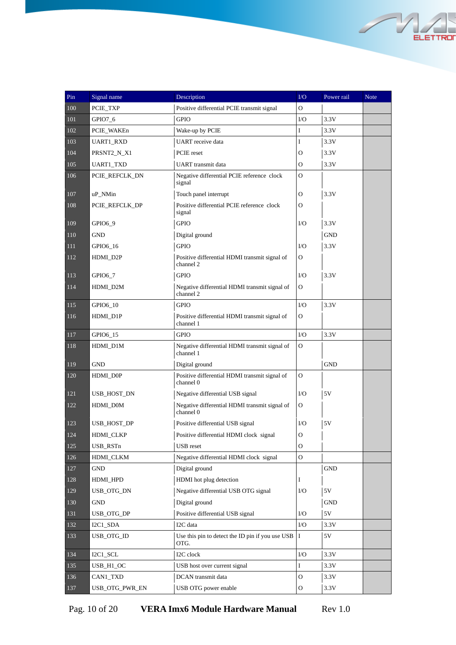| Pin     | Signal name    | Description                                                | I/O          | Power rail      | <b>Note</b> |
|---------|----------------|------------------------------------------------------------|--------------|-----------------|-------------|
| 100     | PCIE_TXP       | Positive differential PCIE transmit signal                 | O            |                 |             |
| 101     | GPIO7_6        | <b>GPIO</b>                                                | I/O          | 3.3V            |             |
| 102     | PCIE_WAKEn     | Wake-up by PCIE                                            | I            | 3.3V            |             |
| 103     | UART1_RXD      | <b>UART</b> receive data                                   | I            | 3.3V            |             |
| 104     | PRSNT2_N_X1    | PCIE reset                                                 | O            | 3.3V            |             |
| 105     | UART1_TXD      | <b>UART</b> transmit data                                  | O            | 3.3V            |             |
| 106     | PCIE_REFCLK_DN | Negative differential PCIE reference clock<br>signal       | O            |                 |             |
| 107     | uP_NMin        | Touch panel interrupt                                      | O            | 3.3V            |             |
| 108     | PCIE_REFCLK_DP | Positive differential PCIE reference clock<br>signal       | O            |                 |             |
| 109     | GPIO6_9        | <b>GPIO</b>                                                | I/O          | 3.3V            |             |
| 110     | <b>GND</b>     | Digital ground                                             |              | GND             |             |
| 111     | GPIO6_16       | <b>GPIO</b>                                                | I/O          | 3.3V            |             |
| 112     | HDMI_D2P       | Positive differential HDMI transmit signal of<br>channel 2 | O            |                 |             |
| 113     | GPIO6_7        | <b>GPIO</b>                                                | I/O          | 3.3V            |             |
| 114     | HDMI_D2M       | Negative differential HDMI transmit signal of<br>channel 2 | O            |                 |             |
| 115     | GPIO6 10       | <b>GPIO</b>                                                | I/O          | 3.3V            |             |
| 116     | HDMI_D1P       | Positive differential HDMI transmit signal of<br>channel 1 | O            |                 |             |
| 117     | GPIO6_15       | <b>GPIO</b>                                                | I/O          | 3.3V            |             |
| 118     | HDMI_D1M       | Negative differential HDMI transmit signal of<br>channel 1 | O            |                 |             |
| 119     | <b>GND</b>     | Digital ground                                             |              | <b>GND</b>      |             |
| 120     | HDMI_D0P       | Positive differential HDMI transmit signal of<br>channel 0 | O            |                 |             |
| 121     | USB_HOST_DN    | Negative differential USB signal                           | I/O          | 5V              |             |
| 122     | HDMI_D0M       | Negative differential HDMI transmit signal of<br>channel 0 | O            |                 |             |
| 123     | USB_HOST_DP    | Positive differential USB signal                           | I/O          | 5V              |             |
| 124     | HDMI_CLKP      | Positive differential HDMI clock signal                    | O            |                 |             |
| 125     | USB_RSTn       | <b>USB</b> reset                                           | O            |                 |             |
| 126     | HDMI_CLKM      | Negative differential HDMI clock signal                    | O            |                 |             |
| 127     | <b>GND</b>     | Digital ground                                             |              | <b>GND</b>      |             |
| 128     | HDMI_HPD       | HDMI hot plug detection                                    | I            |                 |             |
| 129     | USB_OTG_DN     | Negative differential USB OTG signal                       | $\rm I/O$    | 5V              |             |
| 130     | GND            | Digital ground                                             |              | GND             |             |
| 131     | USB_OTG_DP     | Positive differential USB signal                           | ${\rm I/O}$  | $5\mathrm{V}$   |             |
| 132     | I2C1_SDA       | I2C data                                                   | I/O          | 3.3V            |             |
| 133     | USB_OTG_ID     | Use this pin to detect the ID pin if you use USB<br>OTG.   | Ι            | 5V              |             |
| 134     | I2C1_SCL       | I2C clock                                                  | $\rm I/O$    | 3.3V            |             |
| 135     | USB_H1_OC      | USB host over current signal                               | Ι            | 3.3V            |             |
| 136     | CAN1_TXD       | DCAN transmit data                                         | O            | 3.3V            |             |
| $137\,$ | USB_OTG_PWR_EN | USB OTG power enable                                       | $\mathbf{O}$ | $3.3\mathrm{V}$ |             |

Pag. 10 of 20 **VERA Imx6 Module Hardware Manual** Rev 1.0

ELET

TRO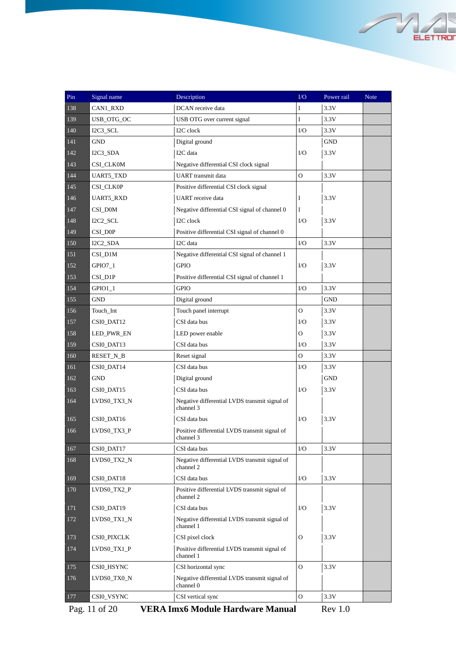| Pin | Signal name      | Description                                                | I/O           | Power rail      | <b>Note</b> |
|-----|------------------|------------------------------------------------------------|---------------|-----------------|-------------|
| 138 | CAN1_RXD         | DCAN receive data                                          | I             | 3.3V            |             |
| 139 | USB_OTG_OC       | USB OTG over current signal                                | $\rm I$       | 3.3V            |             |
| 140 | I2C3_SCL         | I2C clock                                                  | I/O           | 3.3V            |             |
| 141 | <b>GND</b>       | Digital ground                                             |               | <b>GND</b>      |             |
| 142 | I2C3_SDA         | I2C data                                                   | I/O           | 3.3V            |             |
| 143 | CSI_CLK0M        | Negative differential CSI clock signal                     |               |                 |             |
| 144 | UART5_TXD        | UART transmit data                                         | $\mathcal{O}$ | 3.3V            |             |
| 145 | CSI CLK0P        | Positive differential CSI clock signal                     |               |                 |             |
| 146 | <b>UART5_RXD</b> | <b>UART</b> receive data                                   | $\mathbf I$   | 3.3V            |             |
| 147 | CSI_D0M          | Negative differential CSI signal of channel 0              | $\rm I$       |                 |             |
| 148 | I2C2_SCL         | I2C clock                                                  | I/O           | 3.3V            |             |
| 149 | CSI_D0P          | Positive differential CSI signal of channel 0              |               |                 |             |
| 150 | I2C2_SDA         | I2C data                                                   | I/O           | 3.3V            |             |
| 151 | CSI_D1M          | Negative differential CSI signal of channel 1              |               |                 |             |
| 152 | $GPIO7_1$        | <b>GPIO</b>                                                | I/O           | 3.3V            |             |
| 153 | CSI_D1P          | Positive differential CSI signal of channel 1              |               |                 |             |
| 154 | GPIO1_1          | <b>GPIO</b>                                                | I/O           | 3.3V            |             |
| 155 | <b>GND</b>       | Digital ground                                             |               | <b>GND</b>      |             |
| 156 | Touch_Int        | Touch panel interrupt                                      | $\Omega$      | 3.3V            |             |
| 157 | CSI0_DAT12       | CSI data bus                                               | I/O           | 3.3V            |             |
| 158 | LED_PWR_EN       | LED power enable                                           | $\mathcal{O}$ | 3.3V            |             |
| 159 | CSI0_DAT13       | CSI data bus                                               | I/O           | 3.3V            |             |
| 160 | RESET_N_B        | Reset signal                                               | $\mathcal{O}$ | 3.3V            |             |
| 161 | CSI0_DAT14       | CSI data bus                                               | I/O           | 3.3V            |             |
| 162 | <b>GND</b>       | Digital ground                                             |               | GND             |             |
| 163 | CSI0 DAT15       | CSI data bus                                               | I/O           | 3.3V            |             |
| 164 | LVDS0_TX3_N      | Negative differential LVDS transmit signal of<br>channel 3 |               |                 |             |
| 165 | CSI0_DAT16       | CSI data bus                                               | I/O           | 3.3V            |             |
| 166 | LVDS0_TX3_P      | Positive differential LVDS transmit signal of<br>channel 3 |               |                 |             |
| 167 | CSI0_DAT17       | CSI data bus                                               | I/O           | 3.3V            |             |
| 168 | LVDS0_TX2_N      | Negative differential LVDS transmit signal of<br>channel 2 |               |                 |             |
| 169 | CSI0_DAT18       | CSI data bus                                               | $\rm I/O$     | 3.3V            |             |
| 170 | LVDS0 TX2 P      | Positive differential LVDS transmit signal of<br>channel 2 |               |                 |             |
| 171 | CSI0_DAT19       | CSI data bus                                               | $\rm I/O$     | 3.3V            |             |
| 172 | LVDS0_TX1_N      | Negative differential LVDS transmit signal of<br>channel 1 |               |                 |             |
| 173 | CSI0_PIXCLK      | CSI pixel clock                                            | $\mathcal{O}$ | $3.3\mathrm{V}$ |             |
| 174 | LVDS0_TX1_P      | Positive differential LVDS transmit signal of<br>channel 1 |               |                 |             |
| 175 | CSI0_HSYNC       | CSI horizontal sync                                        | $\mathcal{O}$ | 3.3V            |             |
| 176 | LVDS0_TX0_N      | Negative differential LVDS transmit signal of<br>channel 0 |               |                 |             |
| 177 | CSI0_VSYNC       | CSI vertical sync                                          | $\mathbf{O}$  | 3.3V            |             |

Pag. 11 of 20 **VERA Imx6 Module Hardware Manual** Rev 1.0

Í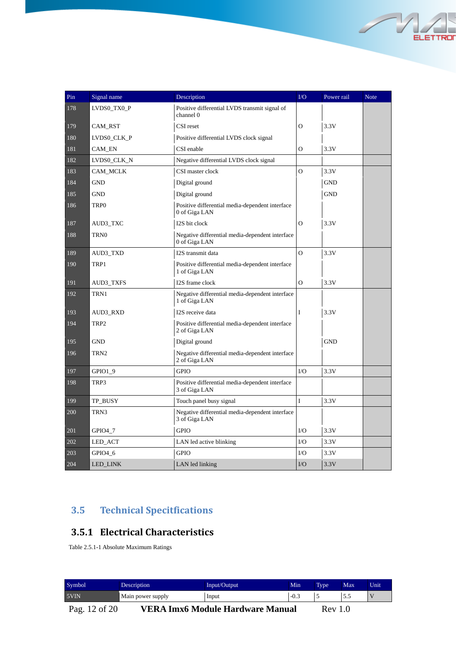| Pin | Signal name      | Description                                                      | $IO$          | Power rail | <b>Note</b> |
|-----|------------------|------------------------------------------------------------------|---------------|------------|-------------|
| 178 | LVDS0 TX0 P      | Positive differential LVDS transmit signal of<br>channel 0       |               |            |             |
| 179 | CAM_RST          | CSI reset                                                        | $\mathcal{O}$ | 3.3V       |             |
| 180 | LVDS0_CLK_P      | Positive differential LVDS clock signal                          |               |            |             |
| 181 | CAM_EN           | CSI enable                                                       | $\mathcal{O}$ | 3.3V       |             |
| 182 | LVDS0_CLK_N      | Negative differential LVDS clock signal                          |               |            |             |
| 183 | CAM_MCLK         | CSI master clock                                                 | O             | 3.3V       |             |
| 184 | <b>GND</b>       | Digital ground                                                   |               | <b>GND</b> |             |
| 185 | <b>GND</b>       | Digital ground                                                   |               | <b>GND</b> |             |
| 186 | TRP <sub>0</sub> | Positive differential media-dependent interface<br>0 of Giga LAN |               |            |             |
| 187 | AUD3_TXC         | I2S bit clock                                                    | $\Omega$      | 3.3V       |             |
| 188 | TRN0             | Negative differential media-dependent interface<br>0 of Giga LAN |               |            |             |
| 189 | AUD3_TXD         | I2S transmit data                                                | $\Omega$      | 3.3V       |             |
| 190 | TRP1             | Positive differential media-dependent interface<br>1 of Giga LAN |               |            |             |
| 191 | <b>AUD3_TXFS</b> | I2S frame clock                                                  | $\Omega$      | 3.3V       |             |
| 192 | TRN1             | Negative differential media-dependent interface<br>1 of Giga LAN |               |            |             |
| 193 | AUD3_RXD         | I2S receive data                                                 | $\mathbf I$   | 3.3V       |             |
| 194 | TRP2             | Positive differential media-dependent interface<br>2 of Giga LAN |               |            |             |
| 195 | <b>GND</b>       | Digital ground                                                   |               | <b>GND</b> |             |
| 196 | TRN <sub>2</sub> | Negative differential media-dependent interface<br>2 of Giga LAN |               |            |             |
| 197 | GPIO1_9          | <b>GPIO</b>                                                      | I/O           | 3.3V       |             |
| 198 | TRP3             | Positive differential media-dependent interface<br>3 of Giga LAN |               |            |             |
| 199 | TP_BUSY          | Touch panel busy signal                                          | $\mathbf{I}$  | 3.3V       |             |
| 200 | TRN3             | Negative differential media-dependent interface<br>3 of Giga LAN |               |            |             |
| 201 | GPIO4 7          | <b>GPIO</b>                                                      | I/O           | 3.3V       |             |
| 202 | LED_ACT          | LAN led active blinking                                          | I/O           | 3.3V       |             |
| 203 | GPIO4_6          | <b>GPIO</b>                                                      | I/O           | 3.3V       |             |
| 204 | <b>LED LINK</b>  | LAN led linking                                                  | I/O           | 3.3V       |             |

Í

**ELETTRO** 

### **3.5 Technical Specitfications**

#### **3.5.1 Electrical Characteristics**

Table 2.5.1-1 Absolute Maximum Ratings

| <b>Symbol</b>                                                                      | Description       | Input/Output | Min    | <b>Type</b> | Max | Unit |
|------------------------------------------------------------------------------------|-------------------|--------------|--------|-------------|-----|------|
| 5VIN                                                                               | Main power supply | Input        | $-0.3$ |             |     |      |
| VED A Imy CModulo Hardware Manual<br>$D_{2}a$ 12 of 20<br>$D_{\alpha x}$ 1 $\beta$ |                   |              |        |             |     |      |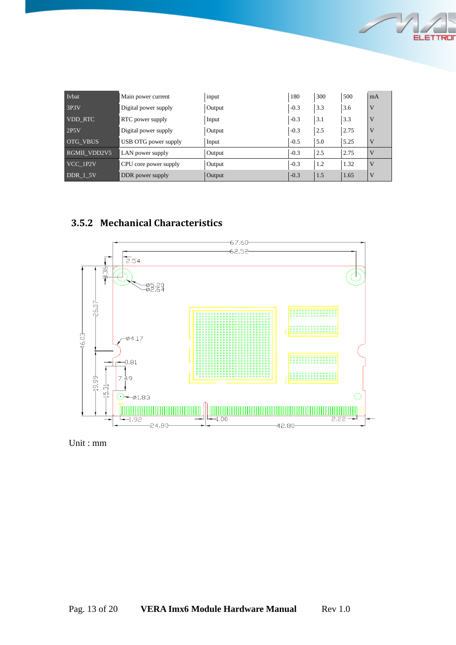

| Ivbat           | Main power current    | input  | 180    | 300 | 500  | mA |
|-----------------|-----------------------|--------|--------|-----|------|----|
| 3P3V            | Digital power supply  | Output | $-0.3$ | 3.3 | 3.6  | V  |
| VDD RTC         | RTC power supply      | Input  | $-0.3$ | 3.1 | 3.3  | V  |
| 2P5V            | Digital power supply  | Output | $-0.3$ | 2.5 | 2.75 | V  |
| <b>OTG VBUS</b> | USB OTG power supply  | Input  | $-0.5$ | 5.0 | 5.25 | V  |
| RGMII VDD2V5    | LAN power supply      | Output | $-0.3$ | 2.5 | 2.75 | V  |
| VCC 1P2V        | CPU core power supply | Output | $-0.3$ | 1.2 | 1.32 | V  |
| $DDR_1_5V$      | DDR power supply      | Output | $-0.3$ | 1.5 | 1.65 |    |

#### **3.5.2 Mechanical Characteristics**



Unit : mm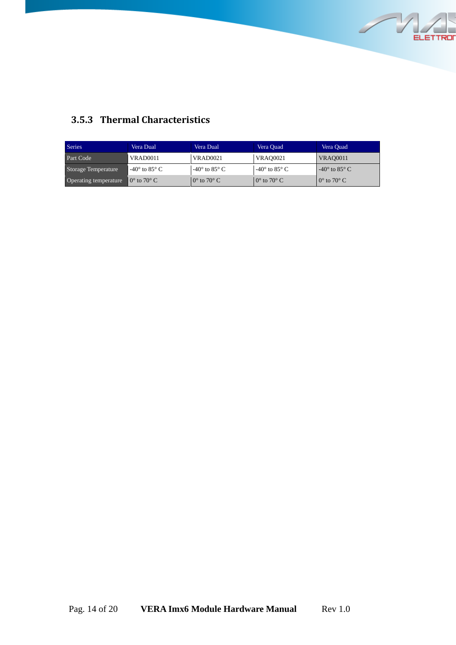

#### **3.5.3 Thermal Characteristics**

| <b>Series</b>         | Vera Dual                         | Vera Dual                         | Vera Quad                       | Vera Quad                       |
|-----------------------|-----------------------------------|-----------------------------------|---------------------------------|---------------------------------|
| Part Code             | <b>VRAD0011</b>                   | <b>VRAD0021</b>                   | <b>VRAQ0021</b>                 | <b>VRAQ0011</b>                 |
| Storage Temperature   | -40 $^{\circ}$ to 85 $^{\circ}$ C | -40 $^{\circ}$ to 85 $^{\circ}$ C | -40 $\degree$ to 85 $\degree$ C | -40 $\degree$ to 85 $\degree$ C |
| Operating temperature | $0^{\circ}$ to $70^{\circ}$ C     | $\sim 70^{\circ}$ C               | $0^{\circ}$ to $70^{\circ}$ C   | $0^{\circ}$ to $70^{\circ}$ C   |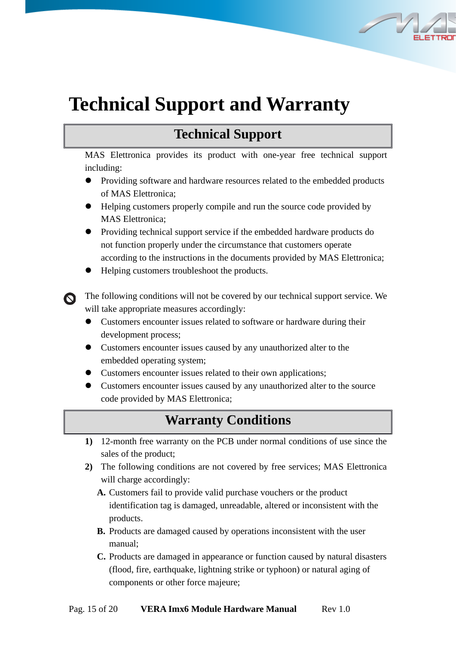

# **Technical Support and Warranty**

# **Technical Support**

MAS Elettronica provides its product with one-year free technical support including:

- ⚫ Providing software and hardware resources related to the embedded products of MAS Elettronica;
- ⚫ Helping customers properly compile and run the source code provided by MAS Elettronica;
- ⚫ Providing technical support service if the embedded hardware products do not function properly under the circumstance that customers operate according to the instructions in the documents provided by MAS Elettronica;
- ⚫ Helping customers troubleshoot the products.

The following conditions will not be covered by our technical support service. We will take appropriate measures accordingly:

- ⚫ Customers encounter issues related to software or hardware during their development process;
- ⚫ Customers encounter issues caused by any unauthorized alter to the embedded operating system;
- ⚫ Customers encounter issues related to their own applications;
- ⚫ Customers encounter issues caused by any unauthorized alter to the source code provided by MAS Elettronica;

## **Warranty Conditions**

- **1)** 12-month free warranty on the PCB under normal conditions of use since the sales of the product;
- **2)** The following conditions are not covered by free services; MAS Elettronica will charge accordingly:
	- **A.** Customers fail to provide valid purchase vouchers or the product identification tag is damaged, unreadable, altered or inconsistent with the products.
	- **B.** Products are damaged caused by operations inconsistent with the user manual;
	- **C.** Products are damaged in appearance or function caused by natural disasters (flood, fire, earthquake, lightning strike or typhoon) or natural aging of components or other force majeure;